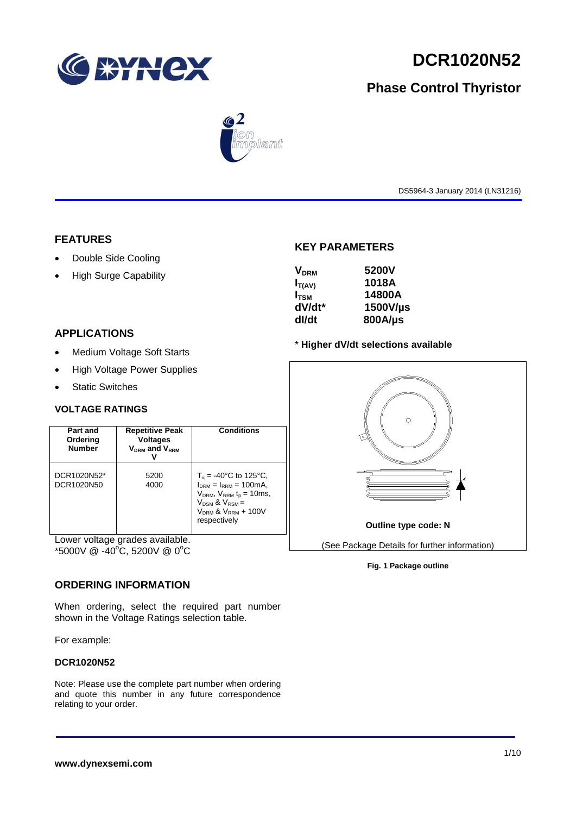

# **DCR1020N52**

# **Phase Control Thyristor**



DS5964-3 January 2014 (LN31216)

# **FEATURES**

- Double Side Cooling
- High Surge Capability

# **APPLICATIONS**

- Medium Voltage Soft Starts
- High Voltage Power Supplies
- Static Switches

# **VOLTAGE RATINGS**

| Part and<br>Ordering<br><b>Number</b> | <b>Repetitive Peak</b><br><b>Voltages</b><br><b>VDRM and VRRM</b> | Conditions                                                                                                                                                                               |  |  |
|---------------------------------------|-------------------------------------------------------------------|------------------------------------------------------------------------------------------------------------------------------------------------------------------------------------------|--|--|
| DCR1020N52*<br>DCR1020N50             | 5200<br>4000                                                      | $T_{\rm vi}$ = -40°C to 125°C,<br>$I_{DRM} = I_{RRM} = 100 \text{mA}$<br>$V_{DRM}$ , $V_{RRM}$ $t_p = 10$ ms,<br>$V_{DSM}$ & $V_{RSM}$ =<br>$V_{DRM}$ & $V_{RRM}$ + 100V<br>respectively |  |  |

Lower voltage grades available.  $*5000V \ @ \ -40^{\circ}\text{C}, 5200V \ @ \ 0^{\circ}\text{C}$ 

# **ORDERING INFORMATION**

When ordering, select the required part number shown in the Voltage Ratings selection table.

For example:

# **DCR1020N52**

Note: Please use the complete part number when ordering and quote this number in any future correspondence relating to your order.

# **KEY PARAMETERS**

| <b>V<sub>DRM</sub></b> | 5200V    |
|------------------------|----------|
| $I_{T(AV)}$            | 1018A    |
| $I_{\rm TSM}$          | 14800A   |
| dV/dt*                 | 1500V/µs |
| dl/dt                  | 800A/µs  |

### \* **Higher dV/dt selections available**



### **Fig. 1 Package outline**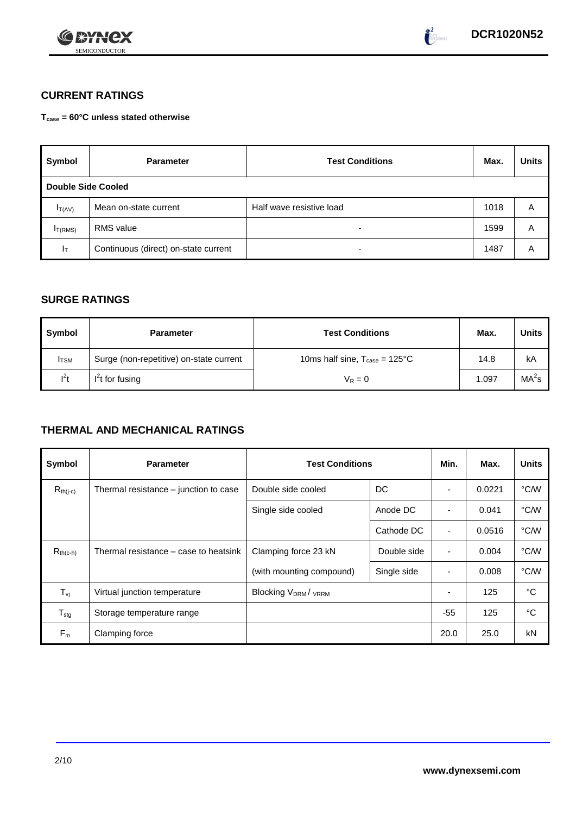



# **CURRENT RATINGS**

**Tcase = 60°C unless stated otherwise**

| Symbol              | <b>Parameter</b>                     | <b>Test Conditions</b>   | Max. | <b>Units</b> |  |  |  |  |  |  |
|---------------------|--------------------------------------|--------------------------|------|--------------|--|--|--|--|--|--|
|                     | <b>Double Side Cooled</b>            |                          |      |              |  |  |  |  |  |  |
| $I_{T(AV)}$         | Mean on-state current                | Half wave resistive load | 1018 | Α            |  |  |  |  |  |  |
| I <sub>T(RMS)</sub> | <b>RMS</b> value                     | $\overline{\phantom{0}}$ | 1599 | A            |  |  |  |  |  |  |
| $I_T$               | Continuous (direct) on-state current | $\overline{\phantom{0}}$ | 1487 | Α            |  |  |  |  |  |  |

# **SURGE RATINGS**

| Symbol       | <b>Parameter</b>                        | <b>Test Conditions</b>                            | Max.  | <b>Units</b>      |
|--------------|-----------------------------------------|---------------------------------------------------|-------|-------------------|
| <b>I</b> TSM | Surge (non-repetitive) on-state current | 10ms half sine, $T_{\text{case}} = 125^{\circ}$ C | 14.8  | kA                |
| $I^2t$       | $I2t$ for fusing                        | $V_R = 0$                                         | 1.097 | MA <sup>2</sup> s |

# **THERMAL AND MECHANICAL RATINGS**

| Symbol           | <b>Parameter</b>                      | <b>Test Conditions</b>                |             |                          | Max.   | <b>Units</b> |
|------------------|---------------------------------------|---------------------------------------|-------------|--------------------------|--------|--------------|
| $R_{th(j-c)}$    | Thermal resistance – junction to case | Double side cooled                    | DC          |                          | 0.0221 | °C/W         |
|                  |                                       | Single side cooled                    | Anode DC    |                          | 0.041  | °C/W         |
|                  |                                       |                                       | Cathode DC  | $\overline{\phantom{a}}$ | 0.0516 | °C/W         |
| $R_{th(c-h)}$    | Thermal resistance – case to heatsink | Clamping force 23 kN                  | Double side | $\blacksquare$           | 0.004  | °C/W         |
|                  |                                       | (with mounting compound)              | Single side |                          | 0.008  | °C/W         |
| $T_{\rm vj}$     | Virtual junction temperature          | <b>Blocking V<sub>DRM</sub>/ VRRM</b> |             |                          | 125    | °C           |
| $T_{\text{stg}}$ | Storage temperature range             |                                       |             | $-55$                    | 125    | °C           |
| $F_m$            | Clamping force                        |                                       |             | 20.0                     | 25.0   | kN           |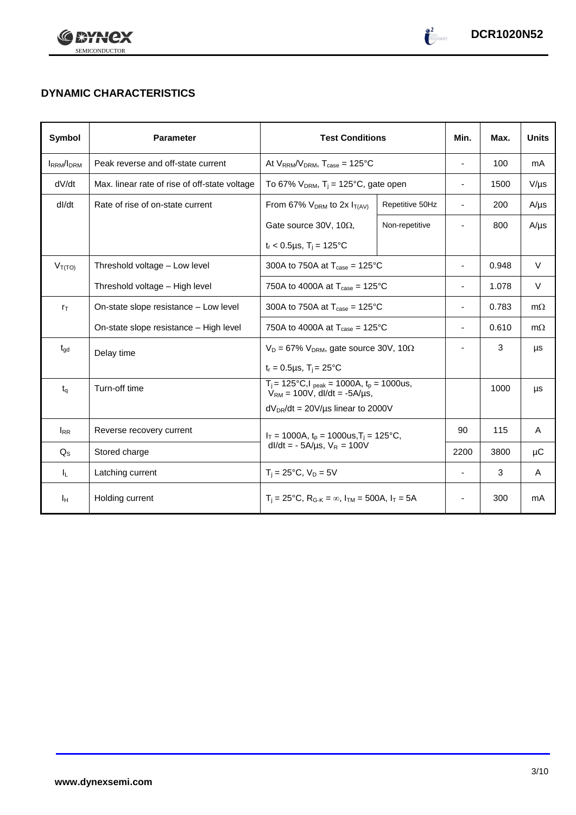



# **DYNAMIC CHARACTERISTICS**

| <b>Symbol</b>    | <b>Parameter</b>                              | <b>Test Conditions</b>                                                                 | Min.                                             | Max.                     | <b>Units</b> |           |
|------------------|-----------------------------------------------|----------------------------------------------------------------------------------------|--------------------------------------------------|--------------------------|--------------|-----------|
| <b>IRRM/IDRM</b> | Peak reverse and off-state current            | At $V_{RRM}/V_{DRM}$ , $T_{case} = 125^{\circ}C$                                       |                                                  | $\overline{\phantom{a}}$ | 100          | mA        |
| dV/dt            | Max. linear rate of rise of off-state voltage | To 67% $V_{DRM}$ , T <sub>i</sub> = 125°C, gate open                                   |                                                  | $\overline{\phantom{0}}$ | 1500         | $V/\mu s$ |
| dl/dt            | Rate of rise of on-state current              | From 67% $V_{DRM}$ to 2x $I_{T(AV)}$                                                   | Repetitive 50Hz                                  | $\overline{\phantom{a}}$ | 200          | $A/\mu s$ |
|                  |                                               | Gate source 30V, 10 $\Omega$ ,                                                         | Non-repetitive                                   |                          | 800          | $A/\mu s$ |
|                  |                                               | $t_r$ < 0.5µs, T <sub>i</sub> = 125°C                                                  |                                                  |                          |              |           |
| $V_{T(TO)}$      | Threshold voltage - Low level                 | 300A to 750A at $T_{\text{case}} = 125^{\circ}$ C                                      |                                                  | ٠                        | 0.948        | V         |
|                  | Threshold voltage - High level                | 750A to 4000A at $T_{\text{case}} = 125^{\circ}$ C                                     |                                                  |                          | 1.078        | V         |
| $r_{\text{T}}$   | On-state slope resistance - Low level         | 300A to 750A at $T_{\text{case}} = 125^{\circ}$ C                                      | ۰                                                | 0.783                    | $m\Omega$    |           |
|                  | On-state slope resistance - High level        | 750A to 4000A at $T_{\text{case}} = 125^{\circ}$ C                                     | $\blacksquare$                                   | 0.610                    | $m\Omega$    |           |
| $t_{\text{ad}}$  | Delay time                                    | $V_D = 67\%$ V <sub>DRM</sub> , gate source 30V, 10 $\Omega$                           |                                                  |                          | 3            | μs        |
|                  |                                               | $t_r = 0.5 \mu s$ , $T_i = 25$ °C                                                      |                                                  |                          |              |           |
| $t_q$            | Turn-off time                                 | $T_i$ = 125°C, $I_{peak}$ = 1000A, $t_p$ = 1000us,<br>$V_{RM}$ = 100V, dl/dt = -5A/us, |                                                  |                          | 1000         | μs        |
|                  |                                               | $dV_{DR}/dt = 20V/\mu s$ linear to 2000V                                               |                                                  |                          |              |           |
| $I_{RR}$         | Reverse recovery current                      |                                                                                        | $I_T = 1000A$ , $t_p = 1000us$ , $T_i = 125°C$ , |                          | 115          | A         |
| $Q_{\rm S}$      | Stored charge                                 | $dl/dt = -5A/\mu s$ , $V_R = 100V$                                                     |                                                  | 2200                     | 3800         | μC        |
| IL.              | Latching current                              | $T_i = 25^{\circ}C$ , $V_D = 5V$                                                       | $\blacksquare$                                   | 3                        | A            |           |
| Iн               | Holding current                               | $T_i = 25^{\circ}C$ , $R_{G-K} = \infty$ , $I_{TM} = 500A$ , $I_T = 5A$                |                                                  |                          | 300          | mA        |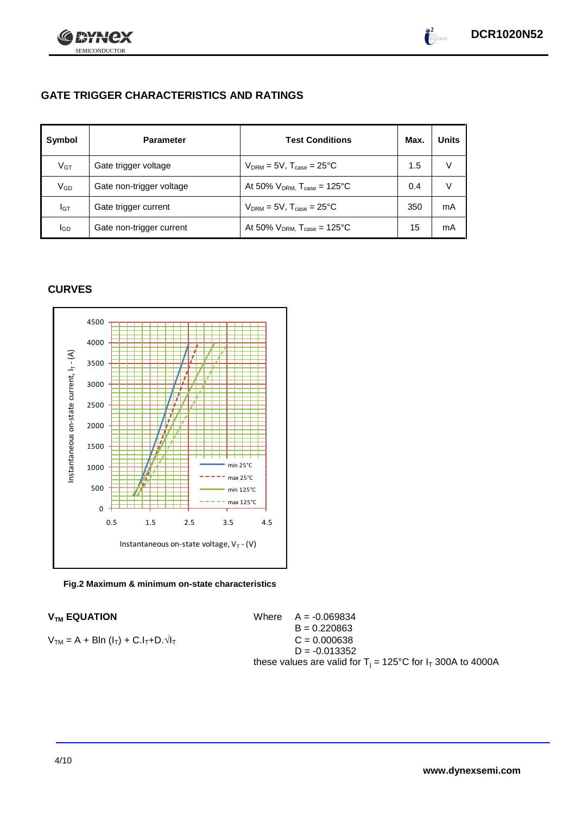



SEMICONDUCTOR

| Symbol          | <b>Parameter</b>         | <b>Test Conditions</b>                       | Max. | <b>Units</b> |
|-----------------|--------------------------|----------------------------------------------|------|--------------|
| $V$ GT          | Gate trigger voltage     | $V_{DRM}$ = 5V, $T_{case}$ = 25°C            | 1.5  | V            |
| V <sub>GD</sub> | Gate non-trigger voltage | At 50% $V_{DRM}$ , $T_{case}$ = 125°C        | 0.4  | V            |
| Iст             | Gate trigger current     | $V_{DRM} = 5V$ , $T_{case} = 25^{\circ}C$    | 350  | mA           |
| lgp             | Gate non-trigger current | At 50% $V_{DRM}$ , $T_{case} = 125^{\circ}C$ | 15   | mA           |

# **CURVES**



**Fig.2 Maximum & minimum on-state characteristics**

 $V_{TM}$  **EQUATION** Where  $A = -0.069834$  $B = 0.220863$  $V_{TM} = A + Bln (I_T) + C.I_T + D.\sqrt{I_T}$   $C = 0.000638$  $D = -0.013352$ these values are valid for  $T_i = 125^{\circ}C$  for  $I_T$  300A to 4000A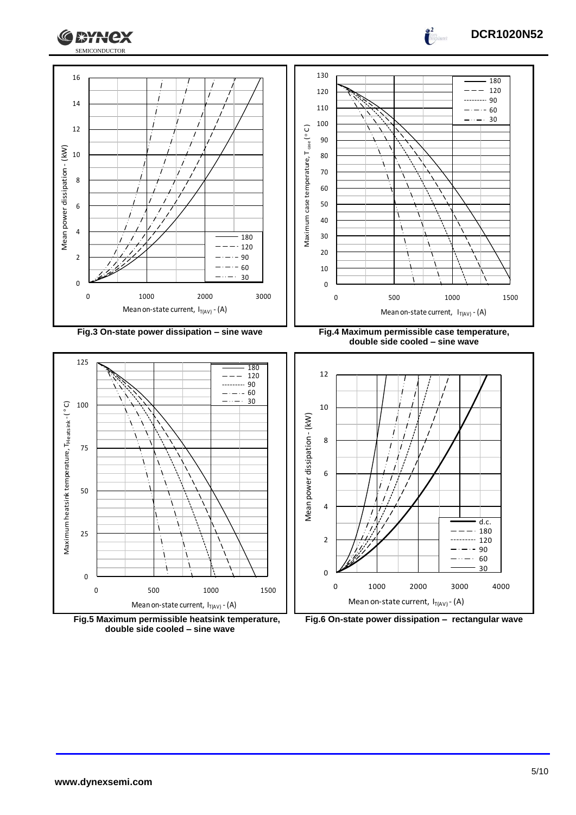





**Fig.5 Maximum permissible heatsink temperature, double side cooled – sine wave**



Mean on-state current,  $I_{T(AV)}$  - (A)

0 1000 2000 3000 4000

d.c. 180  $120$ <br>90<br> $60$  $\frac{1}{90}$ <br>60<br>30  $\frac{58}{60}$ 

. . . .

0

2

4

6

 $\frac{2}{\sqrt{2}}$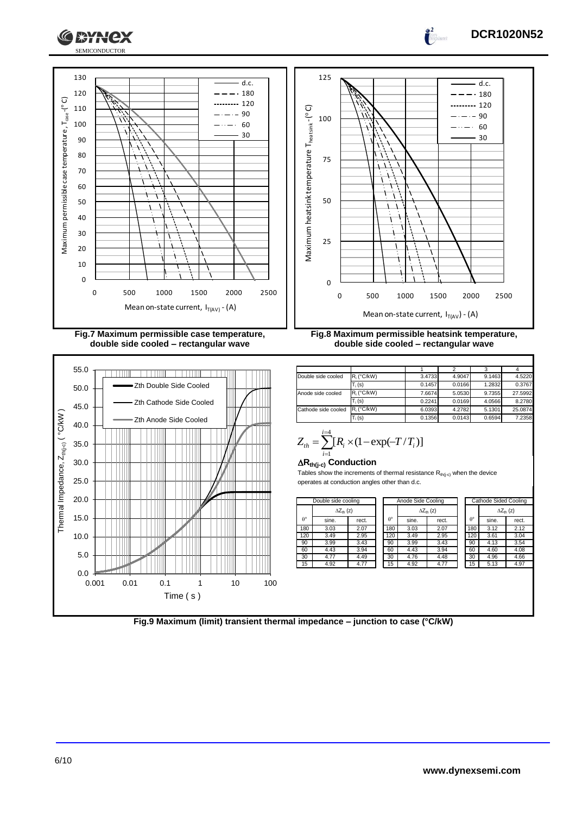

# **DCR1020N52**



**Fig.7 Maximum permissible case temperature, double side cooled – rectangular wave**





 $\int_0^2$ 

**Fig.8 Maximum permissible heatsink temperature, double side cooled – rectangular wave**

| Double side cooled  | $R_i$ ( $°C/kW$ ) | 3.4733 | 4.9047 | 9.1463 | 4.5220  |
|---------------------|-------------------|--------|--------|--------|---------|
|                     | $T_i(s)$          | 0.1457 | 0.0166 | 1.2832 | 0.3767  |
| Anode side cooled   | $R_i$ (°C/kW)     | 7.6674 | 5.0530 | 9.7355 | 27.5992 |
|                     | $T_i(s)$          | 0.2241 | 0.0169 | 4.0566 | 8.2780  |
| Cathode side cooled | $R_i$ (°C/kW)     | 6.0393 | 4.2782 | 5.1301 | 25.0874 |
|                     | $T_i(s)$          | 0.1356 | 0.0143 | 0.6594 | 7.2358  |

$$
Z_{th} = \sum_{i=1}^{i=4} [R_i \times (1 - \exp(-T/T_i))]
$$

#### **Rth(j-c) Conduction**

Tables show the increments of thermal resistance  $R_{th(j-c)}$  when the device operates at conduction angles other than d.c.

| Double side cooling |                     | Anode Side Cooling |                  |       | <b>Cathode Sided Cooling</b> |                  |       |                     |
|---------------------|---------------------|--------------------|------------------|-------|------------------------------|------------------|-------|---------------------|
|                     | $\Delta Z_{th}$ (z) |                    |                  |       | $\Delta Z_{\text{th}}$ (z)   |                  |       | $\Delta Z_{th}$ (z) |
| $\theta^{\circ}$    | sine.               | rect.              | $\theta^{\circ}$ | sine. | rect.                        | $\theta^{\circ}$ | sine. | rect.               |
| 180                 | 3.03                | 2.07               | 180              | 3.03  | 2.07                         | 180              | 3.12  | 2.12                |
| 120                 | 3.49                | 2.95               | 120              | 3.49  | 2.95                         | 120              | 3.61  | 3.04                |
| 90                  | 3.99                | 3.43               | 90               | 3.99  | 3.43                         | 90               | 4.13  | 3.54                |
| 60                  | 4.43                | 3.94               | 60               | 4.43  | 3.94                         | 60               | 4.60  | 4.08                |
| 30                  | 4.77                | 4.49               | 30               | 4.76  | 4.48                         | 30               | 4.96  | 4.66                |
| 15                  | 4.92                | 4.77               | 15               | 4.92  | 4.77                         | 15               | 5.13  | 4.97                |

| de cooling                 |       | Anode Side Cooling |                  |                            |       |  | Cathode Sided Cooling |       |                     |
|----------------------------|-------|--------------------|------------------|----------------------------|-------|--|-----------------------|-------|---------------------|
| $\Delta Z_{\text{th}}$ (z) |       |                    |                  | $\Delta Z_{\text{th}}$ (z) |       |  |                       |       | $\Delta Z_{th}$ (z) |
|                            | rect. |                    | $\theta^{\circ}$ | sine.                      | rect. |  | $\theta^{\circ}$      | sine. | rect.               |
|                            | 2.07  |                    | 180              | 3.03                       | 2.07  |  | 180                   | 3.12  | 2.12                |
|                            | 2.95  |                    | 120              | 3.49                       | 2.95  |  | 120                   | 3.61  | 3.04                |
|                            | 3.43  |                    | 90               | 3.99                       | 3.43  |  | 90                    | 4.13  | 3.54                |
|                            | 3.94  |                    | 60               | 4.43                       | 3.94  |  | 60                    | 4.60  | 4.08                |
|                            | 4.49  |                    | 30               | 4.76                       | 4.48  |  | 30                    | 4.96  | 4.66                |
|                            | 4.77  |                    | 15               | 4.92                       | 4.77  |  | 15                    | 5.13  | 4.97                |
|                            |       |                    |                  |                            |       |  |                       |       |                     |

**Fig.9 Maximum (limit) transient thermal impedance – junction to case (°C/kW)**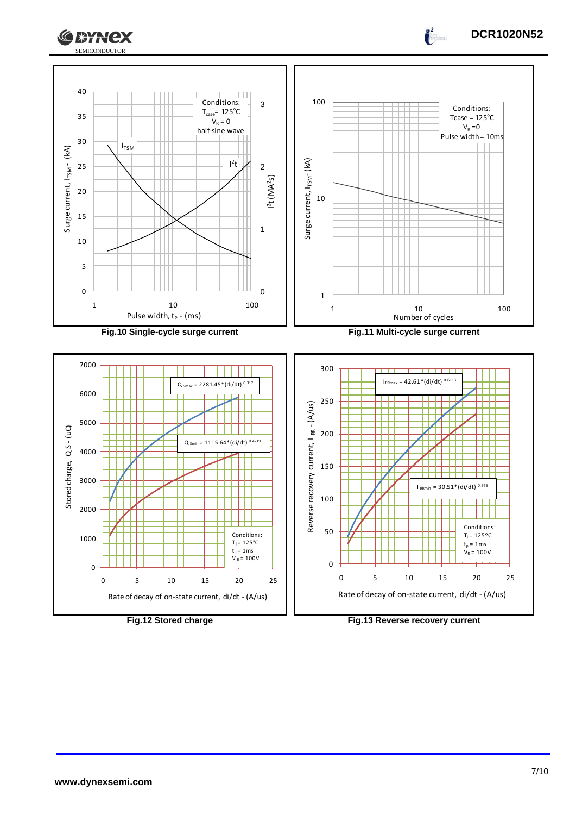



Rate of decay of on-state current, di/dt - (A/us)



Rate of decay of on-state current, di/dt - (A/us)

**DCR1020N52**

 $\frac{2}{\pi}$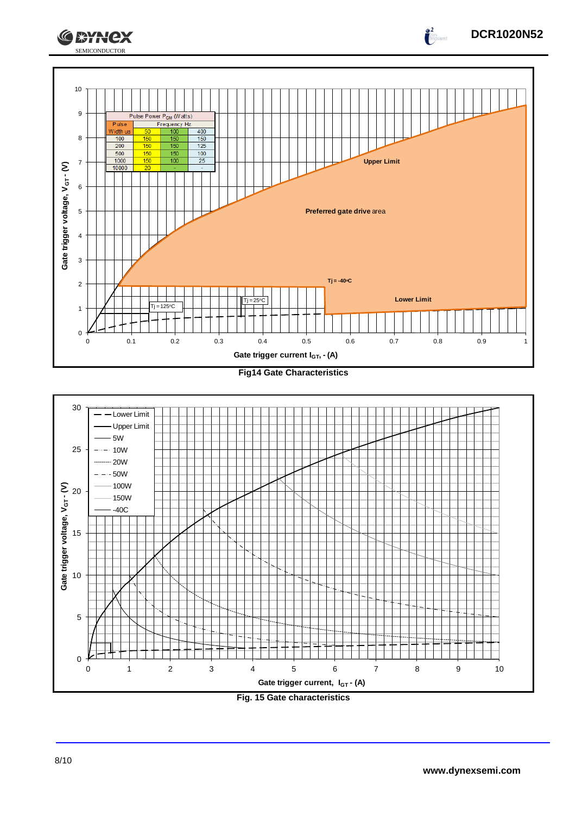





**DCR1020N52**

 $\frac{2}{\sqrt{2}}$ 

**CEYNEX**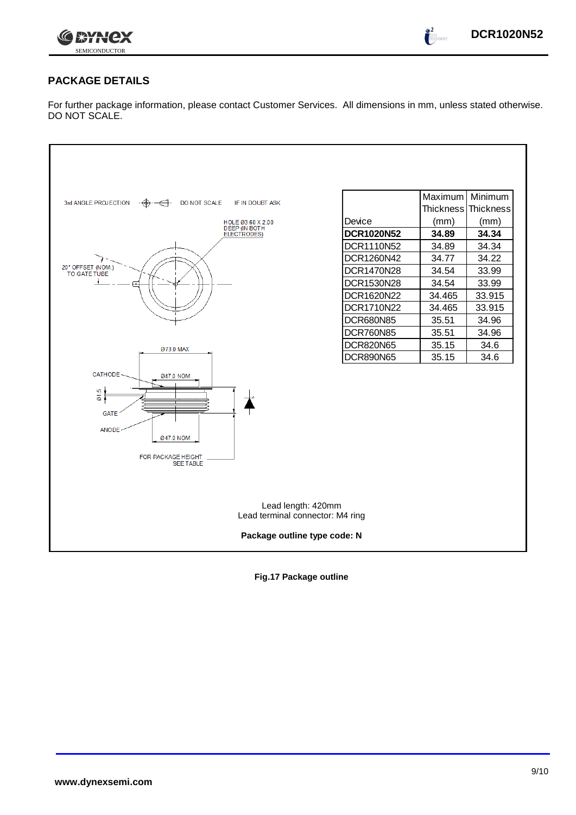

 $\frac{2}{\sqrt{2}}$ 

# **PACKAGE DETAILS**

For further package information, please contact Customer Services. All dimensions in mm, unless stated otherwise. DO NOT SCALE.

| DO NOT SCALE<br>3rd ANGLE PROJECTION<br>IF IN DOUBT ASK                                                                        |                   | Maximum          | Minimum   |  |  |  |  |  |
|--------------------------------------------------------------------------------------------------------------------------------|-------------------|------------------|-----------|--|--|--|--|--|
|                                                                                                                                |                   | <b>Thickness</b> | Thickness |  |  |  |  |  |
| HOLE 03.60 X 2.00<br>DEEP (IN BOTH                                                                                             | Device            | (mm)             | (mm)      |  |  |  |  |  |
| ELECTRODES)                                                                                                                    | <b>DCR1020N52</b> | 34.89            | 34.34     |  |  |  |  |  |
|                                                                                                                                | DCR1110N52        | 34.89            | 34.34     |  |  |  |  |  |
|                                                                                                                                | DCR1260N42        | 34.77            | 34.22     |  |  |  |  |  |
| 20° OFFSET (NOM.)<br>TO GATE TUBE                                                                                              | DCR1470N28        | 34.54            | 33.99     |  |  |  |  |  |
|                                                                                                                                | DCR1530N28        | 34.54            | 33.99     |  |  |  |  |  |
|                                                                                                                                | DCR1620N22        | 34.465           | 33.915    |  |  |  |  |  |
|                                                                                                                                | DCR1710N22        | 34.465           | 33.915    |  |  |  |  |  |
|                                                                                                                                | <b>DCR680N85</b>  | 35.51            | 34.96     |  |  |  |  |  |
|                                                                                                                                | <b>DCR760N85</b>  | 35.51            | 34.96     |  |  |  |  |  |
| Ø73.0 MAX                                                                                                                      | <b>DCR820N65</b>  | 35.15            | 34.6      |  |  |  |  |  |
|                                                                                                                                | <b>DCR890N65</b>  | 35.15            | 34.6      |  |  |  |  |  |
| CATHODE-<br>Ø47.0 NOM<br><b>IO</b><br>δ.<br><b>GATE</b><br><b>ANODE</b><br>Ø47.0 NOM<br>FOR PACKAGE HEIGHT<br><b>SEE TABLE</b> |                   |                  |           |  |  |  |  |  |
| Lead length: 420mm<br>Lead terminal connector: M4 ring                                                                         |                   |                  |           |  |  |  |  |  |
| Package outline type code: N                                                                                                   |                   |                  |           |  |  |  |  |  |

**Fig.17 Package outline**